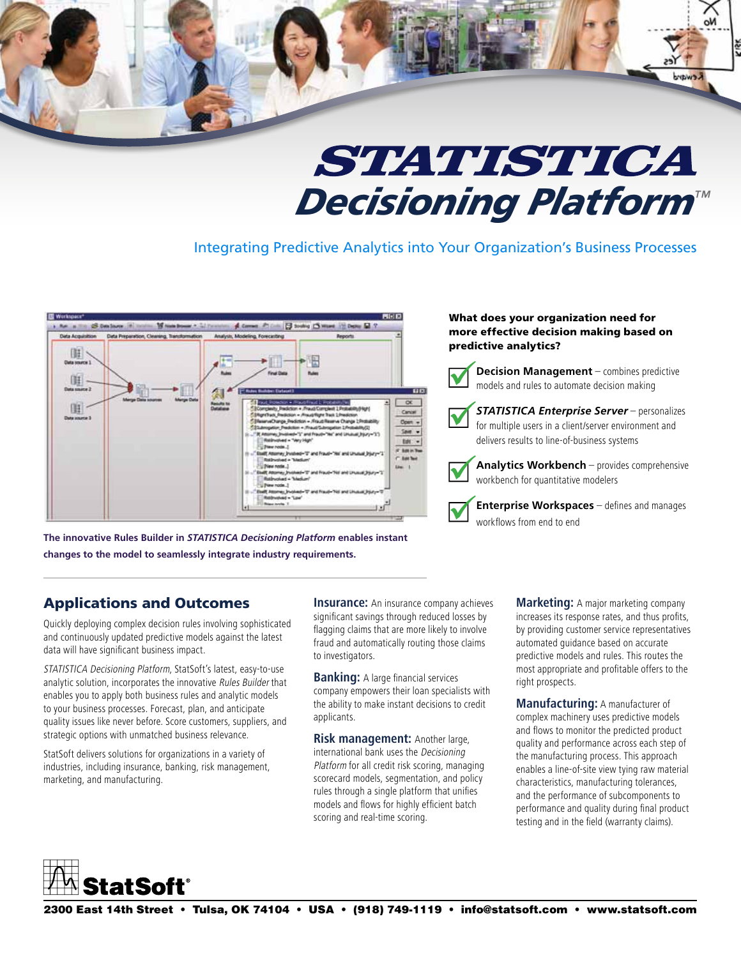

# STATISTICA *Decisioning Platform™*

Integrating Predictive Analytics into Your Organization's Business Processes



**The innovative Rules Builder in** *STATISTICA Decisioning Platform* **enables instant changes to the model to seamlessly integrate industry requirements.** 

### What does your organization need for more effective decision making based on predictive analytics?



**Decision Management** – combines predictive models and rules to automate decision making

*STATISTICA Enterprise Server* – personalizes for multiple users in a client/server environment and delivers results to line-of-business systems

**Analytics Workbench** – provides comprehensive workbench for quantitative modelers

**Enterprise Workspaces** – defines and manages workflows from end to end

## Applications and Outcomes

Quickly deploying complex decision rules involving sophisticated and continuously updated predictive models against the latest data will have significant business impact.

STATISTICA Decisioning Platform, StatSoft's latest, easy-to-use analytic solution, incorporates the innovative Rules Builder that enables you to apply both business rules and analytic models to your business processes. Forecast, plan, and anticipate quality issues like never before. Score customers, suppliers, and strategic options with unmatched business relevance.

StatSoft delivers solutions for organizations in a variety of industries, including insurance, banking, risk management, marketing, and manufacturing.

**Insurance:** An insurance company achieves significant savings through reduced losses by flagging claims that are more likely to involve fraud and automatically routing those claims to investigators.

**Banking:** A large financial services company empowers their loan specialists with the ability to make instant decisions to credit applicants.

**Risk management:** Another large, international bank uses the Decisioning Platform for all credit risk scoring, managing scorecard models, segmentation, and policy rules through a single platform that unifies models and flows for highly efficient batch scoring and real-time scoring.

**Marketing:** A major marketing company increases its response rates, and thus profits, by providing customer service representatives automated guidance based on accurate predictive models and rules. This routes the most appropriate and profitable offers to the right prospects.

**Manufacturing:** A manufacturer of complex machinery uses predictive models and flows to monitor the predicted product quality and performance across each step of the manufacturing process. This approach enables a line-of-site view tying raw material characteristics, manufacturing tolerances, and the performance of subcomponents to performance and quality during final product testing and in the field (warranty claims).